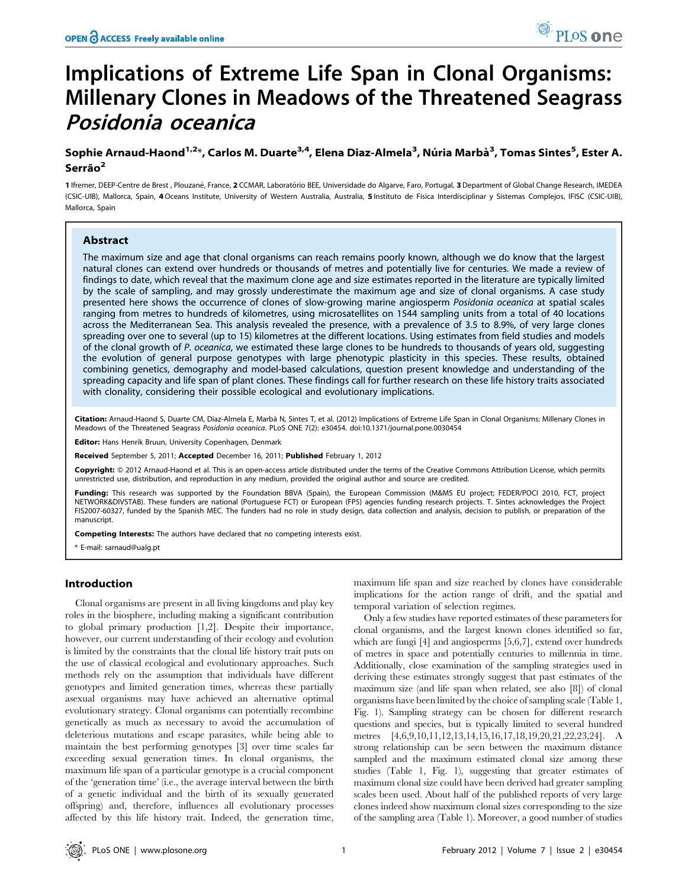# Implications of Extreme Life Span in Clonal Organisms: Millenary Clones in Meadows of the Threatened Seagrass Posidonia oceanica

## Sophie Arnaud-Haond<sup>1,2</sup>\*, Carlos M. Duarte<sup>3,4</sup>, Elena Diaz-Almela<sup>3</sup>, Núria Marbà<sup>3</sup>, Tomas Sintes<sup>5</sup>, Ester A. Serrão<sup>2</sup>

1 Ifremer, DEEP-Centre de Brest , Plouzané, France, 2 CCMAR, Laboratório BEE, Universidade do Algarve, Faro, Portugal, 3 Department of Global Change Research, IMEDEA (CSIC-UIB), Mallorca, Spain, 4 Oceans Institute, University of Western Australia, Australia, 5 Instituto de Física Interdisciplinar y Sistemas Complejos, IFISC (CSIC-UIB), Mallorca, Spain

## Abstract

The maximum size and age that clonal organisms can reach remains poorly known, although we do know that the largest natural clones can extend over hundreds or thousands of metres and potentially live for centuries. We made a review of findings to date, which reveal that the maximum clone age and size estimates reported in the literature are typically limited by the scale of sampling, and may grossly underestimate the maximum age and size of clonal organisms. A case study presented here shows the occurrence of clones of slow-growing marine angiosperm Posidonia oceanica at spatial scales ranging from metres to hundreds of kilometres, using microsatellites on 1544 sampling units from a total of 40 locations across the Mediterranean Sea. This analysis revealed the presence, with a prevalence of 3.5 to 8.9%, of very large clones spreading over one to several (up to 15) kilometres at the different locations. Using estimates from field studies and models of the clonal growth of P. oceanica, we estimated these large clones to be hundreds to thousands of years old, suggesting the evolution of general purpose genotypes with large phenotypic plasticity in this species. These results, obtained combining genetics, demography and model-based calculations, question present knowledge and understanding of the spreading capacity and life span of plant clones. These findings call for further research on these life history traits associated with clonality, considering their possible ecological and evolutionary implications.

Citation: Arnaud-Haond S, Duarte CM, Diaz-Almela E, Marbà N, Sintes T, et al. (2012) Implications of Extreme Life Span in Clonal Organisms: Millenary Clones in Meadows of the Threatened Seagrass Posidonia oceanica. PLoS ONE 7(2): e30454. doi:10.1371/journal.pone.0030454

Editor: Hans Henrik Bruun, University Copenhagen, Denmark

Received September 5, 2011; Accepted December 16, 2011; Published February 1, 2012

Copyright: © 2012 Arnaud-Haond et al. This is an open-access article distributed under the terms of the Creative Commons Attribution License, which permits unrestricted use, distribution, and reproduction in any medium, provided the original author and source are credited.

Funding: This research was supported by the Foundation BBVA (Spain), the European Commission (M&MS EU project; FEDER/POCI 2010, FCT, project NETWORK&DIVSTAB). These funders are national (Portuguese FCT) or European (FP5) agencies funding research projects. T. Sintes acknowledges the Project FIS2007-60327, funded by the Spanish MEC. The funders had no role in study design, data collection and analysis, decision to publish, or preparation of the manuscript.

Competing Interests: The authors have declared that no competing interests exist.

\* E-mail: sarnaud@ualg.pt

## Introduction

Clonal organisms are present in all living kingdoms and play key roles in the biosphere, including making a significant contribution to global primary production [1,2]. Despite their importance, however, our current understanding of their ecology and evolution is limited by the constraints that the clonal life history trait puts on the use of classical ecological and evolutionary approaches. Such methods rely on the assumption that individuals have different genotypes and limited generation times, whereas these partially asexual organisms may have achieved an alternative optimal evolutionary strategy. Clonal organisms can potentially recombine genetically as much as necessary to avoid the accumulation of deleterious mutations and escape parasites, while being able to maintain the best performing genotypes [3] over time scales far exceeding sexual generation times. In clonal organisms, the maximum life span of a particular genotype is a crucial component of the 'generation time' (i.e., the average interval between the birth of a genetic individual and the birth of its sexually generated offspring) and, therefore, influences all evolutionary processes affected by this life history trait. Indeed, the generation time,

maximum life span and size reached by clones have considerable implications for the action range of drift, and the spatial and temporal variation of selection regimes.

Only a few studies have reported estimates of these parameters for clonal organisms, and the largest known clones identified so far, which are fungi [4] and angiosperms [5,6,7], extend over hundreds of metres in space and potentially centuries to millennia in time. Additionally, close examination of the sampling strategies used in deriving these estimates strongly suggest that past estimates of the maximum size (and life span when related, see also [8]) of clonal organisms have been limited by the choice of sampling scale (Table 1, Fig. 1). Sampling strategy can be chosen for different research questions and species, but is typically limited to several hundred metres [4,6,9,10,11,12,13,14,15,16,17,18,19,20,21,22,23,24]. A strong relationship can be seen between the maximum distance sampled and the maximum estimated clonal size among these studies (Table 1, Fig. 1), suggesting that greater estimates of maximum clonal size could have been derived had greater sampling scales been used. About half of the published reports of very large clones indeed show maximum clonal sizes corresponding to the size of the sampling area (Table 1). Moreover, a good number of studies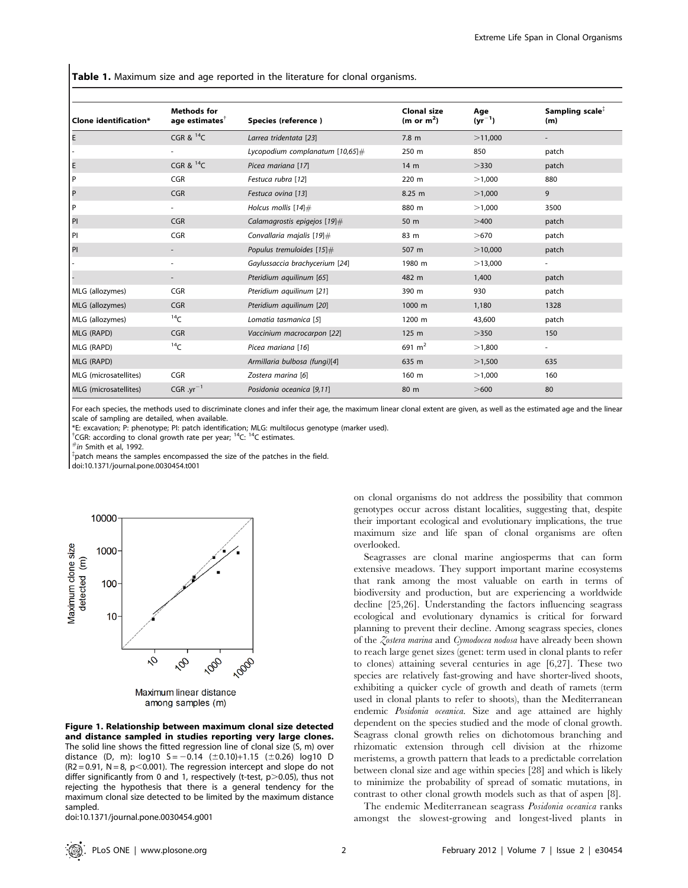Table 1. Maximum size and age reported in the literature for clonal organisms.

| Clone identification* | <b>Methods for</b><br>age estimates <sup>†</sup> | Species (reference)                | <b>Clonal size</b><br>Age<br>$(yr^{-1})$<br>(m or $m2$ ) |         | Sampling scale <sup>3</sup><br>(m) |  |
|-----------------------|--------------------------------------------------|------------------------------------|----------------------------------------------------------|---------|------------------------------------|--|
| E                     | CGR & $14$ C                                     | Larrea tridentata [23]             | 7.8 m                                                    | >11,000 | $\overline{\phantom{0}}$           |  |
|                       |                                                  | Lycopodium complanatum $[10,65]$ # | 250 m                                                    | 850     | patch                              |  |
| E                     | CGR & $14$ C                                     | Picea mariana [17]                 | 14 <sub>m</sub>                                          | >330    | patch                              |  |
| l P                   | <b>CGR</b>                                       | Festuca rubra [12]                 | 220 m                                                    | >1,000  | 880                                |  |
| P                     | <b>CGR</b>                                       | Festuca ovina [13]                 | 8.25 m                                                   | >1,000  | 9                                  |  |
| l P                   | ۰.                                               | Holcus mollis $[14]$ #             | 880 m                                                    | >1,000  | 3500                               |  |
| PI                    | <b>CGR</b>                                       | Calamagrostis epigejos [19]#       | 50 m                                                     | >400    | patch                              |  |
| PI                    | <b>CGR</b>                                       | Convallaria majalis [19]#          | 83 m                                                     | >670    | patch                              |  |
| PI                    |                                                  | Populus tremuloides $[15]$ #       | 507 m                                                    | >10,000 | patch                              |  |
|                       | ٠                                                | Gaylussaccia brachycerium [24]     | 1980 m                                                   | >13,000 | ۰                                  |  |
|                       |                                                  | Pteridium aquilinum [65]           | 482 m                                                    | 1,400   | patch                              |  |
| MLG (allozymes)       | <b>CGR</b>                                       | Pteridium aquilinum [21]           | 390 m                                                    | 930     | patch                              |  |
| MLG (allozymes)       | <b>CGR</b>                                       | Pteridium aquilinum [20]           | 1000 m                                                   | 1,180   | 1328                               |  |
| MLG (allozymes)       | 14 <sub>C</sub>                                  | Lomatia tasmanica [5]              | 1200 m                                                   | 43,600  | patch                              |  |
| MLG (RAPD)            | <b>CGR</b>                                       | Vaccinium macrocarpon [22]         | 125 m                                                    | >350    | 150                                |  |
| MLG (RAPD)            | 14 <sub>C</sub>                                  | Picea mariana [16]                 | 691 $m2$                                                 | >1,800  | ٠                                  |  |
| MLG (RAPD)            |                                                  | Armillaria bulbosa (fungi)[4]      | 635 m                                                    | >1,500  | 635                                |  |
| MLG (microsatellites) | <b>CGR</b>                                       | Zostera marina [6]                 | 160 m                                                    | >1,000  | 160                                |  |
| MLG (microsatellites) | $CGR.yr^{-1}$                                    | Posidonia oceanica [9,11]          | 80 m                                                     | >600    | 80                                 |  |

For each species, the methods used to discriminate clones and infer their age, the maximum linear clonal extent are given, as well as the estimated age and the linear scale of sampling are detailed, when available.

\*E: excavation; P: phenotype; PI: patch identification; MLG: multilocus genotype (marker used).

<sup>†</sup>CGR: according to clonal growth rate per year; <sup>14</sup>C: <sup>14</sup>C estimates.<br>#in Smith et al, 1992.<br>\*patch means the samples encompassed the size of the patches in

 $\frac{1}{4}$ patch means the samples encompassed the size of the patches in the field.

doi:10.1371/journal.pone.0030454.t001



Maximum linear distance among samples (m)

Figure 1. Relationship between maximum clonal size detected and distance sampled in studies reporting very large clones. The solid line shows the fitted regression line of clonal size (S, m) over distance (D, m):  $log10 S = -0.14$  (±0.10)+1.15 (±0.26) log10 D  $(R2 = 0.91, N = 8, p < 0.001)$ . The regression intercept and slope do not differ significantly from 0 and 1, respectively (t-test,  $p$  > 0.05), thus not rejecting the hypothesis that there is a general tendency for the maximum clonal size detected to be limited by the maximum distance sampled.

doi:10.1371/journal.pone.0030454.g001

on clonal organisms do not address the possibility that common genotypes occur across distant localities, suggesting that, despite their important ecological and evolutionary implications, the true maximum size and life span of clonal organisms are often overlooked.

Seagrasses are clonal marine angiosperms that can form extensive meadows. They support important marine ecosystems that rank among the most valuable on earth in terms of biodiversity and production, but are experiencing a worldwide decline [25,26]. Understanding the factors influencing seagrass ecological and evolutionary dynamics is critical for forward planning to prevent their decline. Among seagrass species, clones of the Zostera marina and Cymodocea nodosa have already been shown to reach large genet sizes (genet: term used in clonal plants to refer to clones) attaining several centuries in age [6,27]. These two species are relatively fast-growing and have shorter-lived shoots, exhibiting a quicker cycle of growth and death of ramets (term used in clonal plants to refer to shoots), than the Mediterranean endemic Posidonia oceanica. Size and age attained are highly dependent on the species studied and the mode of clonal growth. Seagrass clonal growth relies on dichotomous branching and rhizomatic extension through cell division at the rhizome meristems, a growth pattern that leads to a predictable correlation between clonal size and age within species [28] and which is likely to minimize the probability of spread of somatic mutations, in contrast to other clonal growth models such as that of aspen [8].

The endemic Mediterranean seagrass Posidonia oceanica ranks amongst the slowest-growing and longest-lived plants in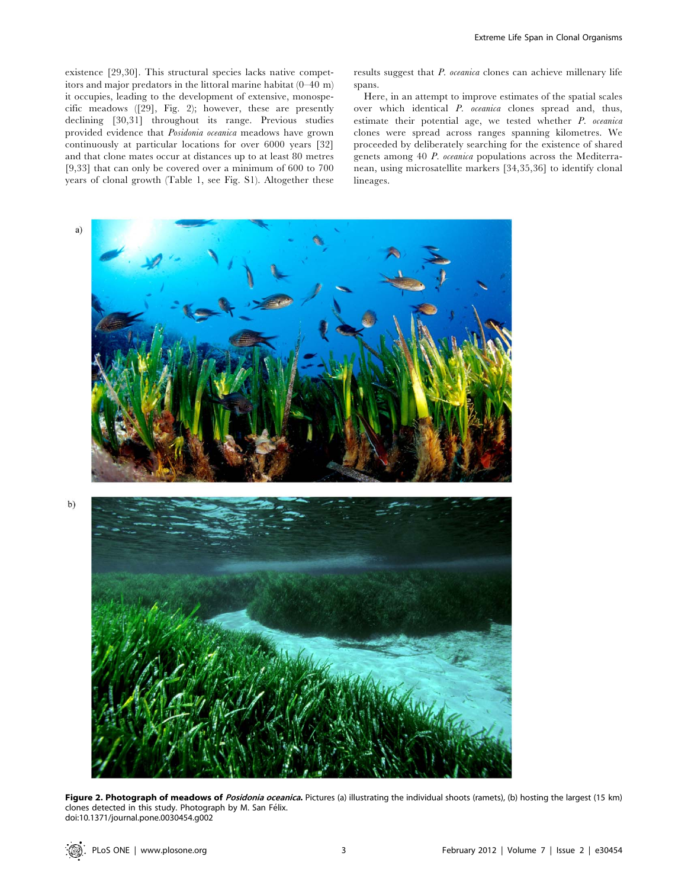existence [29,30]. This structural species lacks native competitors and major predators in the littoral marine habitat (0–40 m) it occupies, leading to the development of extensive, monospecific meadows ([29], Fig. 2); however, these are presently declining [30,31] throughout its range. Previous studies provided evidence that Posidonia oceanica meadows have grown continuously at particular locations for over 6000 years [32] and that clone mates occur at distances up to at least 80 metres [9,33] that can only be covered over a minimum of 600 to 700 years of clonal growth (Table 1, see Fig. S1). Altogether these results suggest that P. oceanica clones can achieve millenary life spans.

Here, in an attempt to improve estimates of the spatial scales over which identical P. oceanica clones spread and, thus, estimate their potential age, we tested whether P. oceanica clones were spread across ranges spanning kilometres. We proceeded by deliberately searching for the existence of shared genets among 40 P. oceanica populations across the Mediterranean, using microsatellite markers [34,35,36] to identify clonal lineages.



Figure 2. Photograph of meadows of Posidonia oceanica. Pictures (a) illustrating the individual shoots (ramets), (b) hosting the largest (15 km) clones detected in this study. Photograph by M. San Félix. doi:10.1371/journal.pone.0030454.g002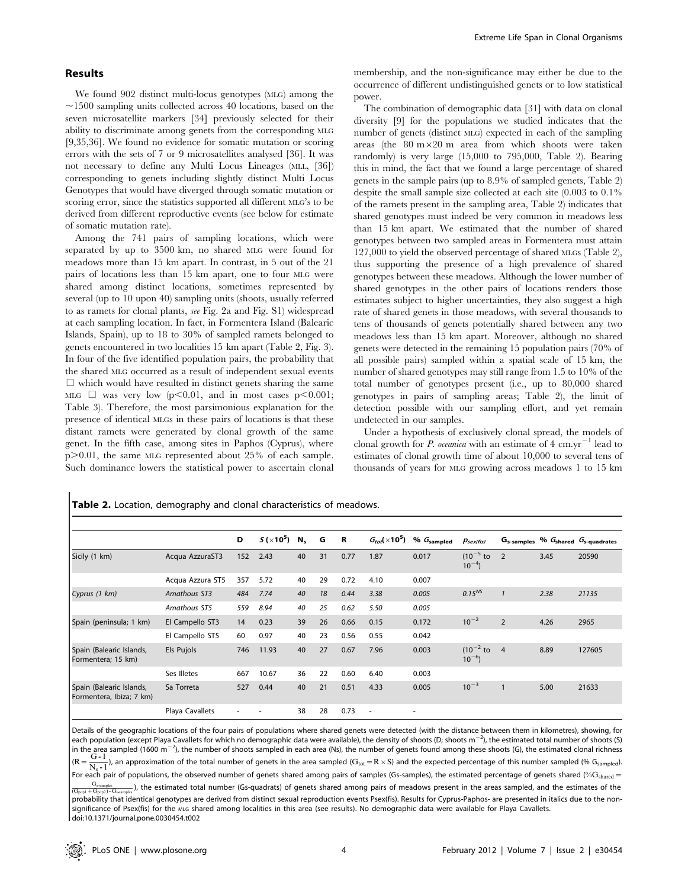## Results

We found 902 distinct multi-locus genotypes (MLG) among the  $\sim$ 1500 sampling units collected across 40 locations, based on the seven microsatellite markers [34] previously selected for their ability to discriminate among genets from the corresponding MLG [9,35,36]. We found no evidence for somatic mutation or scoring errors with the sets of 7 or 9 microsatellites analysed [36]. It was not necessary to define any Multi Locus Lineages (MLL, [36]) corresponding to genets including slightly distinct Multi Locus Genotypes that would have diverged through somatic mutation or scoring error, since the statistics supported all different MLG's to be derived from different reproductive events (see below for estimate of somatic mutation rate).

Among the 741 pairs of sampling locations, which were separated by up to 3500 km, no shared MLG were found for meadows more than 15 km apart. In contrast, in 5 out of the 21 pairs of locations less than 15 km apart, one to four MLG were shared among distinct locations, sometimes represented by several (up to 10 upon 40) sampling units (shoots, usually referred to as ramets for clonal plants, see Fig. 2a and Fig. S1) widespread at each sampling location. In fact, in Formentera Island (Balearic Islands, Spain), up to 18 to 30% of sampled ramets belonged to genets encountered in two localities 15 km apart (Table 2, Fig. 3). In four of the five identified population pairs, the probability that the shared MLG occurred as a result of independent sexual events  $\Box$  which would have resulted in distinct genets sharing the same MLG  $\Box$  was very low (p<0.01, and in most cases p<0.001; Table 3). Therefore, the most parsimonious explanation for the presence of identical MLGs in these pairs of locations is that these distant ramets were generated by clonal growth of the same genet. In the fifth case, among sites in Paphos (Cyprus), where  $p>0.01$ , the same MLG represented about 25% of each sample. Such dominance lowers the statistical power to ascertain clonal membership, and the non-significance may either be due to the occurrence of different undistinguished genets or to low statistical power.

The combination of demographic data [31] with data on clonal diversity [9] for the populations we studied indicates that the number of genets (distinct MLG) expected in each of the sampling areas (the  $80 \text{ m} \times 20 \text{ m}$  area from which shoots were taken randomly) is very large (15,000 to 795,000, Table 2). Bearing this in mind, the fact that we found a large percentage of shared genets in the sample pairs (up to 8.9% of sampled genets, Table 2) despite the small sample size collected at each site (0.003 to 0.1% of the ramets present in the sampling area, Table 2) indicates that shared genotypes must indeed be very common in meadows less than 15 km apart. We estimated that the number of shared genotypes between two sampled areas in Formentera must attain 127,000 to yield the observed percentage of shared MLGs (Table 2), thus supporting the presence of a high prevalence of shared genotypes between these meadows. Although the lower number of shared genotypes in the other pairs of locations renders those estimates subject to higher uncertainties, they also suggest a high rate of shared genets in those meadows, with several thousands to tens of thousands of genets potentially shared between any two meadows less than 15 km apart. Moreover, although no shared genets were detected in the remaining 15 population pairs (70% of all possible pairs) sampled within a spatial scale of 15 km, the number of shared genotypes may still range from 1.5 to 10% of the total number of genotypes present (i.e., up to 80,000 shared genotypes in pairs of sampling areas; Table 2), the limit of detection possible with our sampling effort, and yet remain undetected in our samples.

Under a hypothesis of exclusively clonal spread, the models of clonal growth for P. oceanica with an estimate of  $4 \text{ cm.} \text{yr}^{-1}$  lead to estimates of clonal growth time of about 10,000 to several tens of thousands of years for MLG growing across meadows 1 to 15 km

|                                                      |                  | D   | $S(x10^5)$ N <sub>s</sub> G |    |    | R    |                          | $G_{tot}(\times 10^5)$ % $G_{sampled}$ | $p_{sex(fis)}$               |                |      | $G_{s-samples}$ % $G_{shared}$ $G_{s-quadrates}$ |
|------------------------------------------------------|------------------|-----|-----------------------------|----|----|------|--------------------------|----------------------------------------|------------------------------|----------------|------|--------------------------------------------------|
| Sicily (1 km)                                        | Acqua AzzuraST3  | 152 | 2.43                        | 40 | 31 | 0.77 | 1.87                     | 0.017                                  | $(10^{-5}$ to<br>$10^{-4}$ ) | $\overline{2}$ | 3.45 | 20590                                            |
|                                                      | Acqua Azzura ST5 | 357 | 5.72                        | 40 | 29 | 0.72 | 4.10                     | 0.007                                  |                              |                |      |                                                  |
| Cyprus (1 km)                                        | Amathous ST3     | 484 | 7.74                        | 40 | 18 | 0.44 | 3.38                     | 0.005                                  | $0.15^{NS}$                  |                | 2.38 | 21135                                            |
|                                                      | Amathous ST5     | 559 | 8.94                        | 40 | 25 | 0.62 | 5.50                     | 0.005                                  |                              |                |      |                                                  |
| Spain (peninsula; 1 km)                              | El Campello ST3  | 14  | 0.23                        | 39 | 26 | 0.66 | 0.15                     | 0.172                                  | $10^{-2}$                    | $\overline{2}$ | 4.26 | 2965                                             |
|                                                      | El Campello ST5  | 60  | 0.97                        | 40 | 23 | 0.56 | 0.55                     | 0.042                                  |                              |                |      |                                                  |
| Spain (Balearic Islands,<br>Formentera; 15 km)       | Els Pujols       | 746 | 11.93                       | 40 | 27 | 0.67 | 7.96                     | 0.003                                  | $(10^{-2}$ to<br>$10^{-6}$   | $\overline{4}$ | 8.89 | 127605                                           |
|                                                      | Ses Illetes      | 667 | 10.67                       | 36 | 22 | 0.60 | 6.40                     | 0.003                                  |                              |                |      |                                                  |
| Spain (Balearic Islands,<br>Formentera, Ibiza; 7 km) | Sa Torreta       | 527 | 0.44                        | 40 | 21 | 0.51 | 4.33                     | 0.005                                  | $10^{-3}$                    |                | 5.00 | 21633                                            |
|                                                      | Playa Cavallets  | ٠   |                             | 38 | 28 | 0.73 | $\overline{\phantom{a}}$ | ٠                                      |                              |                |      |                                                  |

Table 2. Location, demography and clonal characteristics of meadows.

Details of the geographic locations of the four pairs of populations where shared genets were detected (with the distance between them in kilometres), showing, for each population (except Playa Cavallets for which no demographic data were available), the density of shoots (D; shoots m<sup>-2</sup>), the estimated total number of shoots (S) in the area sampled (1600 m<sup>-2</sup>), the number of shoots sampled in each area (Ns), the number of genets found among these shoots (G), the estimated clonal richness  $(R = \frac{G - 1}{N_s - 1})$ , an approximation of the total number of genets in the area sampled (G<sub>tot</sub> = R × S) and the expected percentage of this number sampled (% G<sub>sampled</sub>). For each pair of populations, the observed number of genets shared among pairs of samples (Gs-samples), the estimated percentage of genets shared (%Gshared =  $\frac{G_{\text{s-samples}}}{(G_{\text{pop1}}+G_{\text{pop2}})-G_{\text{s-samples}}}$ ), the estimated total number (Gs-quadrats) of genets shared among pairs of meadows present in the areas sampled, and the estimates of the probability that identical genotypes are derived from distinct sexual reproduction events Psex(fis). Results for Cyprus-Paphos- are presented in italics due to the nonsignificance of Psex(fis) for the MLG shared among localities in this area (see results). No demographic data were available for Playa Cavallets. doi:10.1371/journal.pone.0030454.t002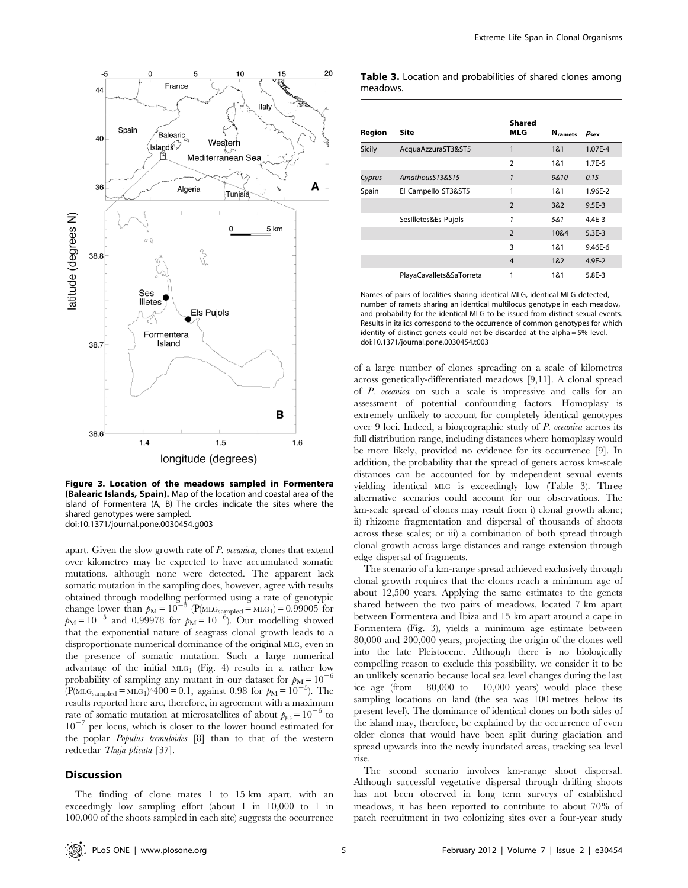

Figure 3. Location of the meadows sampled in Formentera (Balearic Islands, Spain). Map of the location and coastal area of the island of Formentera (A, B) The circles indicate the sites where the shared genotypes were sampled. doi:10.1371/journal.pone.0030454.g003

apart. Given the slow growth rate of P. oceanica, clones that extend over kilometres may be expected to have accumulated somatic mutations, although none were detected. The apparent lack somatic mutation in the sampling does, however, agree with results obtained through modelling performed using a rate of genotypic change lower than  $p_M = 10^{-5}$  (P(MLG<sub>sampled</sub> = MLG<sub>1</sub>) = 0.99005 for  $p_M = 10^{-5}$  and 0.99978 for  $p_M = 10^{-6}$ . Our modelling showed that the exponential nature of seagrass clonal growth leads to a disproportionate numerical dominance of the original MLG, even in the presence of somatic mutation. Such a large numerical advantage of the initial  $MLG_1$  (Fig. 4) results in a rather low probability of sampling any mutant in our dataset for  $p_M = 10^{-6}$  $(P(\text{MLG}_\text{sampled} = \text{MLG}_1)/400 = 0.1$ , against 0.98 for  $p_\text{M} = 10^{-5}$ ). The results reported here are, therefore, in agreement with a maximum rate of somatic mutation at microsatellites of about  $p_{\mu s} = 10^{-6}$  to  $10^{-7}$  per locus, which is closer to the lower bound estimated for the poplar Populus tremuloides [8] than to that of the western redcedar Thuja plicata [37].

## **Discussion**

The finding of clone mates 1 to 15 km apart, with an exceedingly low sampling effort (about 1 in 10,000 to 1 in 100,000 of the shoots sampled in each site) suggests the occurrence

Table 3. Location and probabilities of shared clones among meadows.

| Region        | Site                     | <b>Shared</b><br><b>MLG</b> | N <sub>ramets</sub> | $p_{\text{sex}}$ |
|---------------|--------------------------|-----------------------------|---------------------|------------------|
| <b>Sicily</b> | AcquaAzzuraST3&ST5       | 1                           | 1&1                 | 1.07E-4          |
|               |                          | $\overline{2}$              | 1&1                 | $1.7E - 5$       |
| Cyprus        | Amathous ST3&ST5         | $\mathbf{1}$                | 9810                | 0.15             |
| Spain         | El Campello ST3&ST5      | 1                           | 1&1                 | 1.96E-2          |
|               |                          | $\overline{2}$              | 3&2                 | $9.5E-3$         |
|               | SesIlletes&Es Pujols     | 1                           | 5&1                 | $4.4E - 3$       |
|               |                          | $\overline{2}$              | 10&4                | $5.3E-3$         |
|               |                          | 3                           | 1&1                 | 9.46E-6          |
|               |                          | $\overline{4}$              | 1&2                 | $4.9E - 2$       |
|               | PlayaCavallets&SaTorreta | 1                           | 1&1                 | $5.8E - 3$       |

Names of pairs of localities sharing identical MLG, identical MLG detected, number of ramets sharing an identical multilocus genotype in each meadow, and probability for the identical MLG to be issued from distinct sexual events. Results in italics correspond to the occurrence of common genotypes for which identity of distinct genets could not be discarded at the alpha = 5% level. doi:10.1371/journal.pone.0030454.t003

of a large number of clones spreading on a scale of kilometres across genetically-differentiated meadows [9,11]. A clonal spread of P. oceanica on such a scale is impressive and calls for an assessment of potential confounding factors. Homoplasy is extremely unlikely to account for completely identical genotypes over 9 loci. Indeed, a biogeographic study of P. oceanica across its full distribution range, including distances where homoplasy would be more likely, provided no evidence for its occurrence [9]. In addition, the probability that the spread of genets across km-scale distances can be accounted for by independent sexual events yielding identical MLG is exceedingly low (Table 3). Three alternative scenarios could account for our observations. The km-scale spread of clones may result from i) clonal growth alone; ii) rhizome fragmentation and dispersal of thousands of shoots across these scales; or iii) a combination of both spread through clonal growth across large distances and range extension through edge dispersal of fragments.

The scenario of a km-range spread achieved exclusively through clonal growth requires that the clones reach a minimum age of about 12,500 years. Applying the same estimates to the genets shared between the two pairs of meadows, located 7 km apart between Formentera and Ibiza and 15 km apart around a cape in Formentera (Fig. 3), yields a minimum age estimate between 80,000 and 200,000 years, projecting the origin of the clones well into the late Pleistocene. Although there is no biologically compelling reason to exclude this possibility, we consider it to be an unlikely scenario because local sea level changes during the last ice age (from  $-80,000$  to  $-10,000$  years) would place these sampling locations on land (the sea was 100 metres below its present level). The dominance of identical clones on both sides of the island may, therefore, be explained by the occurrence of even older clones that would have been split during glaciation and spread upwards into the newly inundated areas, tracking sea level rise.

The second scenario involves km-range shoot dispersal. Although successful vegetative dispersal through drifting shoots has not been observed in long term surveys of established meadows, it has been reported to contribute to about 70% of patch recruitment in two colonizing sites over a four-year study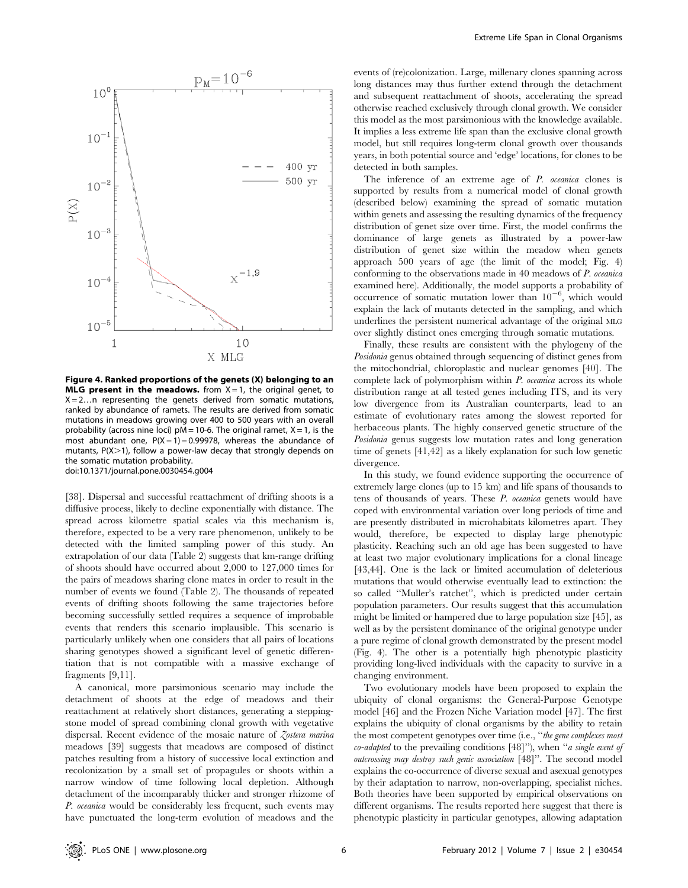

Figure 4. Ranked proportions of the genets (X) belonging to an **MLG present in the meadows.** from  $X = 1$ , the original genet, to  $X = 2...n$  representing the genets derived from somatic mutations, ranked by abundance of ramets. The results are derived from somatic mutations in meadows growing over 400 to 500 years with an overall probability (across nine loci)  $pM = 10-6$ . The original ramet,  $X = 1$ , is the most abundant one,  $P(X = 1) = 0.99978$ , whereas the abundance of mutants,  $P(X>1)$ , follow a power-law decay that strongly depends on the somatic mutation probability. doi:10.1371/journal.pone.0030454.g004

[38]. Dispersal and successful reattachment of drifting shoots is a diffusive process, likely to decline exponentially with distance. The spread across kilometre spatial scales via this mechanism is, therefore, expected to be a very rare phenomenon, unlikely to be detected with the limited sampling power of this study. An extrapolation of our data (Table 2) suggests that km-range drifting of shoots should have occurred about 2,000 to 127,000 times for the pairs of meadows sharing clone mates in order to result in the number of events we found (Table 2). The thousands of repeated events of drifting shoots following the same trajectories before becoming successfully settled requires a sequence of improbable events that renders this scenario implausible. This scenario is particularly unlikely when one considers that all pairs of locations sharing genotypes showed a significant level of genetic differentiation that is not compatible with a massive exchange of fragments [9,11].

A canonical, more parsimonious scenario may include the detachment of shoots at the edge of meadows and their reattachment at relatively short distances, generating a steppingstone model of spread combining clonal growth with vegetative dispersal. Recent evidence of the mosaic nature of Zostera marina meadows [39] suggests that meadows are composed of distinct patches resulting from a history of successive local extinction and recolonization by a small set of propagules or shoots within a narrow window of time following local depletion. Although detachment of the incomparably thicker and stronger rhizome of P. oceanica would be considerably less frequent, such events may have punctuated the long-term evolution of meadows and the

events of (re)colonization. Large, millenary clones spanning across long distances may thus further extend through the detachment and subsequent reattachment of shoots, accelerating the spread otherwise reached exclusively through clonal growth. We consider this model as the most parsimonious with the knowledge available. It implies a less extreme life span than the exclusive clonal growth model, but still requires long-term clonal growth over thousands years, in both potential source and 'edge' locations, for clones to be detected in both samples.

The inference of an extreme age of P. *oceanica* clones is supported by results from a numerical model of clonal growth (described below) examining the spread of somatic mutation within genets and assessing the resulting dynamics of the frequency distribution of genet size over time. First, the model confirms the dominance of large genets as illustrated by a power-law distribution of genet size within the meadow when genets approach 500 years of age (the limit of the model; Fig. 4) conforming to the observations made in 40 meadows of P. oceanica examined here). Additionally, the model supports a probability of occurrence of somatic mutation lower than  $10^{-6}$ , which would explain the lack of mutants detected in the sampling, and which underlines the persistent numerical advantage of the original MLG over slightly distinct ones emerging through somatic mutations.

Finally, these results are consistent with the phylogeny of the Posidonia genus obtained through sequencing of distinct genes from the mitochondrial, chloroplastic and nuclear genomes [40]. The complete lack of polymorphism within *P. oceanica* across its whole distribution range at all tested genes including ITS, and its very low divergence from its Australian counterparts, lead to an estimate of evolutionary rates among the slowest reported for herbaceous plants. The highly conserved genetic structure of the Posidonia genus suggests low mutation rates and long generation time of genets [41,42] as a likely explanation for such low genetic divergence.

In this study, we found evidence supporting the occurrence of extremely large clones (up to 15 km) and life spans of thousands to tens of thousands of years. These P. oceanica genets would have coped with environmental variation over long periods of time and are presently distributed in microhabitats kilometres apart. They would, therefore, be expected to display large phenotypic plasticity. Reaching such an old age has been suggested to have at least two major evolutionary implications for a clonal lineage [43,44]. One is the lack or limited accumulation of deleterious mutations that would otherwise eventually lead to extinction: the so called ''Muller's ratchet'', which is predicted under certain population parameters. Our results suggest that this accumulation might be limited or hampered due to large population size [45], as well as by the persistent dominance of the original genotype under a pure regime of clonal growth demonstrated by the present model (Fig. 4). The other is a potentially high phenotypic plasticity providing long-lived individuals with the capacity to survive in a changing environment.

Two evolutionary models have been proposed to explain the ubiquity of clonal organisms: the General-Purpose Genotype model [46] and the Frozen Niche Variation model [47]. The first explains the ubiquity of clonal organisms by the ability to retain the most competent genotypes over time (i.e., "the gene complexes most co-adapted to the prevailing conditions [48]''), when ''a single event of outcrossing may destroy such genic association [48]''. The second model explains the co-occurrence of diverse sexual and asexual genotypes by their adaptation to narrow, non-overlapping, specialist niches. Both theories have been supported by empirical observations on different organisms. The results reported here suggest that there is phenotypic plasticity in particular genotypes, allowing adaptation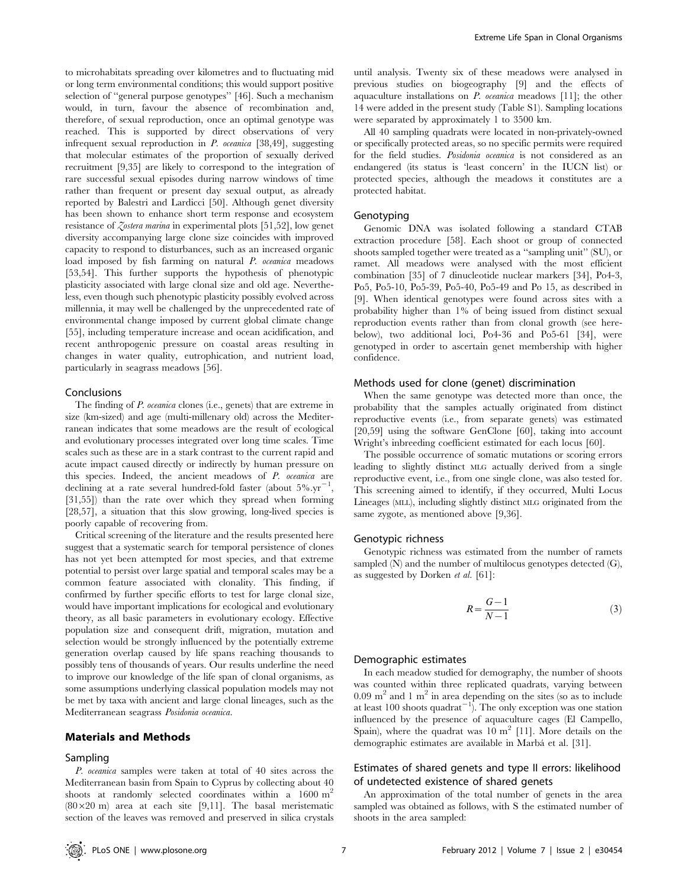to microhabitats spreading over kilometres and to fluctuating mid or long term environmental conditions; this would support positive selection of ''general purpose genotypes'' [46]. Such a mechanism would, in turn, favour the absence of recombination and, therefore, of sexual reproduction, once an optimal genotype was reached. This is supported by direct observations of very infrequent sexual reproduction in P. oceanica [38,49], suggesting that molecular estimates of the proportion of sexually derived recruitment [9,35] are likely to correspond to the integration of rare successful sexual episodes during narrow windows of time rather than frequent or present day sexual output, as already reported by Balestri and Lardicci [50]. Although genet diversity has been shown to enhance short term response and ecosystem resistance of Zostera marina in experimental plots [51,52], low genet diversity accompanying large clone size coincides with improved capacity to respond to disturbances, such as an increased organic load imposed by fish farming on natural P. oceanica meadows [53,54]. This further supports the hypothesis of phenotypic plasticity associated with large clonal size and old age. Nevertheless, even though such phenotypic plasticity possibly evolved across millennia, it may well be challenged by the unprecedented rate of environmental change imposed by current global climate change [55], including temperature increase and ocean acidification, and recent anthropogenic pressure on coastal areas resulting in changes in water quality, eutrophication, and nutrient load, particularly in seagrass meadows [56].

#### Conclusions

The finding of P. oceanica clones (i.e., genets) that are extreme in size (km-sized) and age (multi-millenary old) across the Mediterranean indicates that some meadows are the result of ecological and evolutionary processes integrated over long time scales. Time scales such as these are in a stark contrast to the current rapid and acute impact caused directly or indirectly by human pressure on this species. Indeed, the ancient meadows of P. oceanica are declining at a rate several hundred-fold faster (about  $5\%$ .yr<sup>-1</sup>, [31,55]) than the rate over which they spread when forming [28,57], a situation that this slow growing, long-lived species is poorly capable of recovering from.

Critical screening of the literature and the results presented here suggest that a systematic search for temporal persistence of clones has not yet been attempted for most species, and that extreme potential to persist over large spatial and temporal scales may be a common feature associated with clonality. This finding, if confirmed by further specific efforts to test for large clonal size, would have important implications for ecological and evolutionary theory, as all basic parameters in evolutionary ecology. Effective population size and consequent drift, migration, mutation and selection would be strongly influenced by the potentially extreme generation overlap caused by life spans reaching thousands to possibly tens of thousands of years. Our results underline the need to improve our knowledge of the life span of clonal organisms, as some assumptions underlying classical population models may not be met by taxa with ancient and large clonal lineages, such as the Mediterranean seagrass Posidonia oceanica.

## Materials and Methods

## Sampling

P. oceanica samples were taken at total of 40 sites across the Mediterranean basin from Spain to Cyprus by collecting about 40 shoots at randomly selected coordinates within a  $1600 \text{ m}^2$  $(80\times20 \text{ m})$  area at each site [9,11]. The basal meristematic section of the leaves was removed and preserved in silica crystals

until analysis. Twenty six of these meadows were analysed in previous studies on biogeography [9] and the effects of aquaculture installations on P. oceanica meadows [11]; the other 14 were added in the present study (Table S1). Sampling locations were separated by approximately 1 to 3500 km.

All 40 sampling quadrats were located in non-privately-owned or specifically protected areas, so no specific permits were required for the field studies. Posidonia oceanica is not considered as an endangered (its status is 'least concern' in the IUCN list) or protected species, although the meadows it constitutes are a protected habitat.

#### Genotyping

Genomic DNA was isolated following a standard CTAB extraction procedure [58]. Each shoot or group of connected shoots sampled together were treated as a ''sampling unit'' (SU), or ramet. All meadows were analysed with the most efficient combination [35] of 7 dinucleotide nuclear markers [34], Po4-3, Po5, Po5-10, Po5-39, Po5-40, Po5-49 and Po 15, as described in [9]. When identical genotypes were found across sites with a probability higher than 1% of being issued from distinct sexual reproduction events rather than from clonal growth (see herebelow), two additional loci, Po4-36 and Po5-61 [34], were genotyped in order to ascertain genet membership with higher confidence.

#### Methods used for clone (genet) discrimination

When the same genotype was detected more than once, the probability that the samples actually originated from distinct reproductive events (i.e., from separate genets) was estimated [20,59] using the software GenClone [60], taking into account Wright's inbreeding coefficient estimated for each locus [60].

The possible occurrence of somatic mutations or scoring errors leading to slightly distinct MLG actually derived from a single reproductive event, i.e., from one single clone, was also tested for. This screening aimed to identify, if they occurred, Multi Locus Lineages (MLL), including slightly distinct MLG originated from the same zygote, as mentioned above [9,36].

#### Genotypic richness

Genotypic richness was estimated from the number of ramets sampled (N) and the number of multilocus genotypes detected (G), as suggested by Dorken et al. [61]:

$$
R = \frac{G - 1}{N - 1} \tag{3}
$$

## Demographic estimates

In each meadow studied for demography, the number of shoots was counted within three replicated quadrats, varying between  $0.09 \text{ m}^2$  and 1 m<sup>2</sup> in area depending on the sites (so as to include at least 100 shoots quadrat $^{-1}$ ). The only exception was one station influenced by the presence of aquaculture cages (El Campello, Spain), where the quadrat was  $10 \text{ m}^2$  [11]. More details on the demographic estimates are available in Marbá et al. [31].

## Estimates of shared genets and type II errors: likelihood of undetected existence of shared genets

An approximation of the total number of genets in the area sampled was obtained as follows, with S the estimated number of shoots in the area sampled: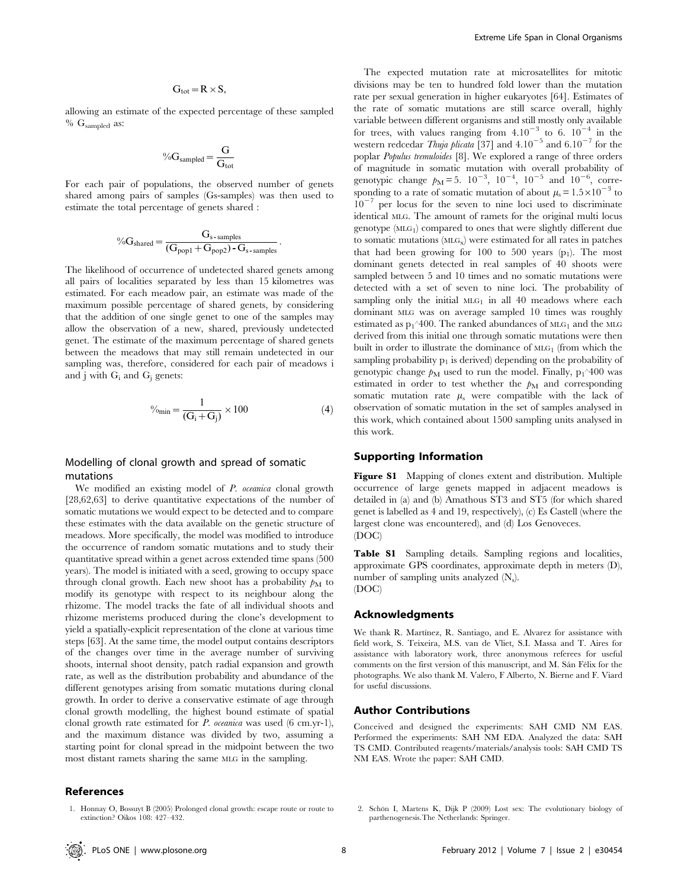$$
G_{\text{tot}} = R \times S,
$$

allowing an estimate of the expected percentage of these sampled  $% G_{sampled}$  as:

$$
\%G_{sampled}=\frac{G}{G_{tot}}
$$

For each pair of populations, the observed number of genets shared among pairs of samples (Gs-samples) was then used to estimate the total percentage of genets shared :

$$
\%G_{shared} = \frac{G_{s-samples}}{(G_{pop1} + G_{pop2}) \cdot G_{s-samples}}
$$

The likelihood of occurrence of undetected shared genets among all pairs of localities separated by less than 15 kilometres was estimated. For each meadow pair, an estimate was made of the maximum possible percentage of shared genets, by considering that the addition of one single genet to one of the samples may allow the observation of a new, shared, previously undetected genet. The estimate of the maximum percentage of shared genets between the meadows that may still remain undetected in our sampling was, therefore, considered for each pair of meadows i and  $j$  with  $G_i$  and  $G_j$  genets:

$$
\%_{\min} = \frac{1}{(G_i + G_j)} \times 100\tag{4}
$$

:

## Modelling of clonal growth and spread of somatic mutations

We modified an existing model of P. oceanica clonal growth [28,62,63] to derive quantitative expectations of the number of somatic mutations we would expect to be detected and to compare these estimates with the data available on the genetic structure of meadows. More specifically, the model was modified to introduce the occurrence of random somatic mutations and to study their quantitative spread within a genet across extended time spans (500 years). The model is initiated with a seed, growing to occupy space through clonal growth. Each new shoot has a probability  $p_M$  to modify its genotype with respect to its neighbour along the rhizome. The model tracks the fate of all individual shoots and rhizome meristems produced during the clone's development to yield a spatially-explicit representation of the clone at various time steps [63]. At the same time, the model output contains descriptors of the changes over time in the average number of surviving shoots, internal shoot density, patch radial expansion and growth rate, as well as the distribution probability and abundance of the different genotypes arising from somatic mutations during clonal growth. In order to derive a conservative estimate of age through clonal growth modelling, the highest bound estimate of spatial clonal growth rate estimated for P. oceanica was used (6 cm.yr-1), and the maximum distance was divided by two, assuming a starting point for clonal spread in the midpoint between the two most distant ramets sharing the same MLG in the sampling.

## References

The expected mutation rate at microsatellites for mitotic divisions may be ten to hundred fold lower than the mutation rate per sexual generation in higher eukaryotes [64]. Estimates of the rate of somatic mutations are still scarce overall, highly variable between different organisms and still mostly only available for trees, with values ranging from  $4.10^{-3}$  to 6.  $10^{-4}$  in the western redcedar Thuja plicata [37] and  $4.10^{-5}$  and  $6.10^{-7}$  for the poplar Populus tremuloides [8]. We explored a range of three orders of magnitude in somatic mutation with overall probability of genotypic change  $p_M = 5. 10^{-3}$ ,  $10^{-4}$ ,  $10^{-5}$  and  $10^{-6}$ , corresponding to a rate of somatic mutation of about  $\mu_s = 1.5 \times 10^{-3}$  to  $10^{-7}$  per locus for the seven to nine loci used to discriminate identical MLG. The amount of ramets for the original multi locus genotype (MLG1) compared to ones that were slightly different due to somatic mutations  $(MLG_x)$  were estimated for all rates in patches that had been growing for 100 to 500 years  $(p_1)$ . The most dominant genets detected in real samples of 40 shoots were sampled between 5 and 10 times and no somatic mutations were detected with a set of seven to nine loci. The probability of sampling only the initial  $MLG_1$  in all 40 meadows where each dominant MLG was on average sampled 10 times was roughly estimated as  $p_1$ <sup> $\wedge$ 400. The ranked abundances of MLG<sub>1</sub> and the MLG</sup> derived from this initial one through somatic mutations were then built in order to illustrate the dominance of  $MLG_1$  (from which the sampling probability  $p_1$  is derived) depending on the probability of genotypic change  $p_M$  used to run the model. Finally,  $p_1$ <sup> $\land$ 400</sup> was estimated in order to test whether the  $p_M$  and corresponding somatic mutation rate  $\mu_s$  were compatible with the lack of observation of somatic mutation in the set of samples analysed in this work, which contained about 1500 sampling units analysed in this work.

## Supporting Information

Figure S1 Mapping of clones extent and distribution. Multiple occurrence of large genets mapped in adjacent meadows is detailed in (a) and (b) Amathous ST3 and ST5 (for which shared genet is labelled as 4 and 19, respectively), (c) Es Castell (where the largest clone was encountered), and (d) Los Genoveces. (DOC)

Table S1 Sampling details. Sampling regions and localities, approximate GPS coordinates, approximate depth in meters (D), number of sampling units analyzed  $(N_s)$ . (DOC)

#### Acknowledgments

We thank R. Martinez, R. Santiago, and E. Alvarez for assistance with field work, S. Teixeira, M.S. van de Vliet, S.I. Massa and T. Aires for assistance with laboratory work, three anonymous referees for useful comments on the first version of this manuscript, and M. Sán Félix for the photographs. We also thank M. Valero, F Alberto, N. Bierne and F. Viard for useful discussions.

## Author Contributions

Conceived and designed the experiments: SAH CMD NM EAS. Performed the experiments: SAH NM EDA. Analyzed the data: SAH TS CMD. Contributed reagents/materials/analysis tools: SAH CMD TS NM EAS. Wrote the paper: SAH CMD.

1. Honnay O, Bossuyt B (2005) Prolonged clonal growth: escape route or route to extinction? Oikos 108: 427–432.

<sup>2.</sup> Schön I, Martens K, Dijk P (2009) Lost sex: The evolutionary biology of parthenogenesis.The Netherlands: Springer.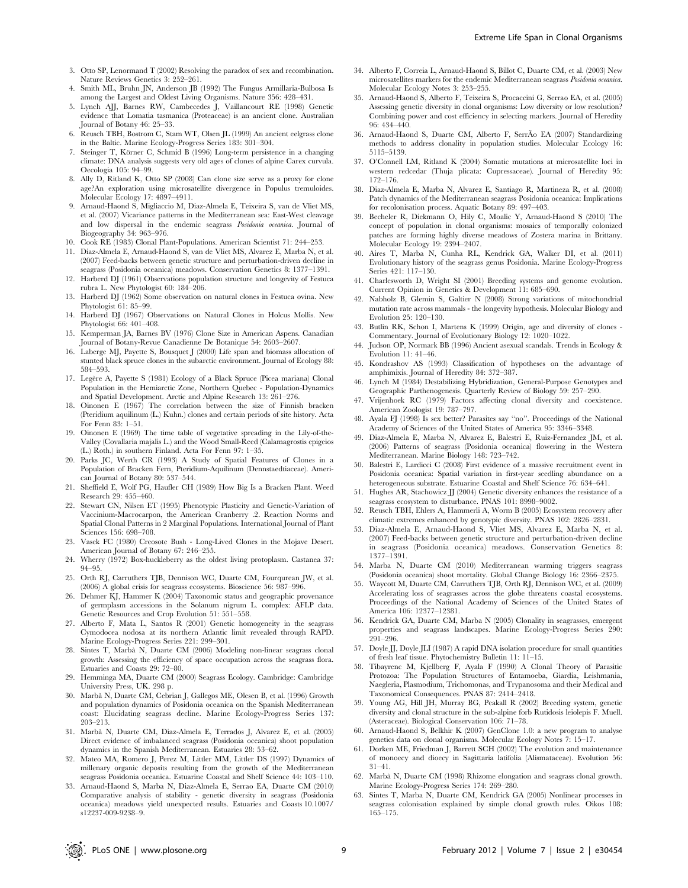- 3. Otto SP, Lenormand T (2002) Resolving the paradox of sex and recombination. Nature Reviews Genetics 3: 252–261.
- 4. Smith ML, Bruhn JN, Anderson JB (1992) The Fungus Armillaria-Bulbosa Is among the Largest and Oldest Living Organisms. Nature 356: 428–431.
- 5. Lynch AJJ, Barnes RW, Cambecedes J, Vaillancourt RE (1998) Genetic evidence that Lomatia tasmanica (Proteaceae) is an ancient clone. Australian Journal of Botany 46: 25–33.
- 6. Reusch TBH, Bostrom C, Stam WT, Olsen JL (1999) An ancient eelgrass clone in the Baltic. Marine Ecology-Progress Series 183: 301–304.
- 7. Steinger T, Körner C, Schmid B (1996) Long-term persistence in a changing climate: DNA analysis suggests very old ages of clones of alpine Carex curvula. Oecologia 105: 94–99.
- 8. Ally D, Ritland K, Otto SP (2008) Can clone size serve as a proxy for clone age?An exploration using microsatellite divergence in Populus tremuloides. Molecular Ecology 17: 4897–4911.
- 9. Arnaud-Haond S, Migliaccio M, Diaz-Almela E, Teixeira S, van de Vliet MS, et al. (2007) Vicariance patterns in the Mediterranean sea: East-West cleavage and low dispersal in the endemic seagrass Posidonia oceanica. Journal of Biogeography 34: 963–976.
- 10. Cook RE (1983) Clonal Plant-Populations. American Scientist 71: 244–253.
- 11. Diaz-Almela E, Arnaud-Haond S, van de Vliet MS, Alvarez E, Marba N, et al. (2007) Feed-backs between genetic structure and perturbation-driven decline in seagrass (Posidonia oceanica) meadows. Conservation Genetics 8: 1377–1391.
- 12. Harberd DJ (1961) Observations population structure and longevity of Festuca rubra L. New Phytologist 60: 184–206.
- 13. Harberd DJ (1962) Some observation on natural clones in Festuca ovina. New Phytologist 61: 85–99.
- 14. Harberd DJ (1967) Observations on Natural Clones in Holcus Mollis. New Phytologist 66: 401–408.
- 15. Kemperman JA, Barnes BV (1976) Clone Size in American Aspens. Canadian Journal of Botany-Revue Canadienne De Botanique 54: 2603–2607.
- 16. Laberge MJ, Payette S, Bousquet J (2000) Life span and biomass allocation of stunted black spruce clones in the subarctic environment. Journal of Ecology 88: 584–593.
- 17. Legère A, Payette S (1981) Ecology of a Black Spruce (Picea mariana) Clonal Population in the Hemiarctic Zone, Northern Quebec - Population-Dynamics and Spatial Development. Arctic and Alpine Research 13: 261–276.
- 18. Oinonen E (1967) The correlation between the size of Finnish bracken (Pteridium aquilinum (L.) Kuhn.) clones and certain periods of site history. Acta For Fenn 83: 1–51.
- 19. Oinonen E (1969) The time table of vegetative spreading in the Lily-of-the-Valley (Covallaria majalis L.) and the Wood Small-Reed (Calamagrostis epigeios (L.) Roth.) in southern Finland. Acta For Fenn 97: 1–35.
- 20. Parks JC, Werth CR (1993) A Study of Spatial Features of Clones in a Population of Bracken Fern, Pteridium-Aquilinum (Dennstaedtiaceae). American Journal of Botany 80: 537–544.
- 21. Sheffield E, Wolf PG, Haufler CH (1989) How Big Is a Bracken Plant. Weed Research 29: 455–460.
- 22. Stewart CN, Nilsen ET (1995) Phenotypic Plasticity and Genetic-Variation of Vaccinium-Macrocarpon, the American Cranberry .2. Reaction Norms and Spatial Clonal Patterns in 2 Marginal Populations. International Journal of Plant Sciences 156: 698–708.
- 23. Vasek FC (1980) Creosote Bush Long-Lived Clones in the Mojave Desert. American Journal of Botany 67: 246–255.
- 24. Wherry (1972) Box-huckleberry as the oldest living protoplasm. Castanea 37: 94–95.
- 25. Orth RJ, Carruthers TJB, Dennison WC, Duarte CM, Fourqurean JW, et al. (2006) A global crisis for seagrass ecosystems. Bioscience 56: 987–996.
- 26. Dehmer KJ, Hammer K (2004) Taxonomic status and geographic provenance of germplasm accessions in the Solanum nigrum L. complex: AFLP data. Genetic Resources and Crop Evolution 51: 551–558.
- 27. Alberto F, Mata L, Santos R (2001) Genetic homogeneity in the seagrass Cymodocea nodosa at its northern Atlantic limit revealed through RAPD. Marine Ecology-Progress Series 221: 299–301.
- 28. Sintes T, Marba` N, Duarte CM (2006) Modeling non-linear seagrass clonal growth: Assessing the efficiency of space occupation across the seagrass flora. Estuaries and Coasts 29: 72–80.
- 29. Hemminga MA, Duarte CM (2000) Seagrass Ecology. Cambridge: Cambridge University Press, UK. 298 p.
- 30. Marba` N, Duarte CM, Cebrian J, Gallegos ME, Olesen B, et al. (1996) Growth and population dynamics of Posidonia oceanica on the Spanish Mediterranean coast: Elucidating seagrass decline. Marine Ecology-Progress Series 137: 203–213.
- 31. Marba` N, Duarte CM, Diaz-Almela E, Terrados J, Alvarez E, et al. (2005) Direct evidence of imbalanced seagrass (Posidonia oceanica) shoot population dynamics in the Spanish Mediterranean. Estuaries 28: 53–62.
- 32. Mateo MA, Romero J, Perez M, Littler MM, Littler DS (1997) Dynamics of millenary organic deposits resulting from the growth of the Mediterranean seagrass Posidonia oceanica. Estuarine Coastal and Shelf Science 44: 103–110.
- 33. Arnaud-Haond S, Marba N, Diaz-Almela E, Serrao EA, Duarte CM (2010) Comparative analysis of stability - genetic diversity in seagrass (Posidonia oceanica) meadows yield unexpected results. Estuaries and Coasts 10.1007/ s12237-009-9238–9.
- 34. Alberto F, Correia L, Arnaud-Haond S, Billot C, Duarte CM, et al. (2003) New microsatellites markers for the endemic Mediterranean seagrass Posidonia oceanica. Molecular Ecology Notes 3: 253–255.
- 35. Arnaud-Haond S, Alberto F, Teixeira S, Procaccini G, Serrao EA, et al. (2005) Assessing genetic diversity in clonal organisms: Low diversity or low resolution? Combining power and cost efficiency in selecting markers. Journal of Heredity 96: 434–440.
- 36. Arnaud-Haond S, Duarte CM, Alberto F, SerrÃo EA (2007) Standardizing methods to address clonality in population studies. Molecular Ecology 16: 5115–5139.
- 37. O'Connell LM, Ritland K (2004) Somatic mutations at microsatellite loci in western redcedar (Thuja plicata: Cupressaceae). Journal of Heredity 95: 172–176.
- 38. Diaz-Almela E, Marba N, Alvarez E, Santiago R, Martineza R, et al. (2008) Patch dynamics of the Mediterranean seagrass Posidonia oceanica: Implications for recolonisation process. Aquatic Botany 89: 497–403.
- 39. Becheler R, Diekmann O, Hily C, Moalic Y, Arnaud-Haond S (2010) The concept of population in clonal organisms: mosaics of temporally colonized patches are forming highly diverse meadows of Zostera marina in Brittany. Molecular Ecology 19: 2394–2407.
- 40. Aires T, Marba N, Cunha RL, Kendrick GA, Walker DI, et al. (2011) Evolutionary history of the seagrass genus Posidonia. Marine Ecology-Progress Series 421: 117–130.
- 41. Charlesworth D, Wright SI (2001) Breeding systems and genome evolution. Current Opinion in Genetics & Development 11: 685–690.
- 42. Nabholz B, Glemin S, Galtier N (2008) Strong variations of mitochondrial mutation rate across mammals - the longevity hypothesis. Molecular Biology and Evolution 25: 120–130.
- 43. Butlin RK, Schon I, Martens K (1999) Origin, age and diversity of clones Commentary. Journal of Evolutionary Biology 12: 1020–1022.
- 44. Judson OP, Normark BB (1996) Ancient asexual scandals. Trends in Ecology & Evolution 11: 41–46.
- 45. Kondrashov AS (1993) Classification of hypotheses on the advantage of amphimixis. Journal of Heredity 84: 372–387.
- 46. Lynch M (1984) Destabilizing Hybridization, General-Purpose Genotypes and Geographic Parthenogenesis. Quarterly Review of Biology 59: 257–290.
- 47. Vrijenhoek RC (1979) Factors affecting clonal diversity and coexistence. American Zoologist 19: 787–797.
- 48. Ayala FJ (1998) Is sex better? Parasites say ''no''. Proceedings of the National Academy of Sciences of the United States of America 95: 3346–3348.
- 49. Diaz-Almela E, Marba N, Alvarez E, Balestri E, Ruiz-Fernandez JM, et al. (2006) Patterns of seagrass (Posidonia oceanica) flowering in the Western Mediterranean. Marine Biology 148: 723–742.
- 50. Balestri E, Lardicci C (2008) First evidence of a massive recruitment event in Posidonia oceanica: Spatial variation in first-year seedling abundance on a heterogeneous substrate. Estuarine Coastal and Shelf Science 76: 634–641.
- 51. Hughes AR, Stachowicz JJ (2004) Genetic diversity enhances the resistance of a seagrass ecosystem to disturbance. PNAS 101: 8998–9002.
- 52. Reusch TBH, Ehlers A, Hammerli A, Worm B (2005) Ecosystem recovery after climatic extremes enhanced by genotypic diversity. PNAS 102: 2826–2831.
- 53. Diaz-Almela E, Arnaud-Haond S, Vliet MS, Alvarez E, Marba N, et al. (2007) Feed-backs between genetic structure and perturbation-driven decline in seagrass (Posidonia oceanica) meadows. Conservation Genetics 8: 1377–1391.
- 54. Marba N, Duarte CM (2010) Mediterranean warming triggers seagrass (Posidonia oceanica) shoot mortality. Global Change Biology 16: 2366–2375.
- 55. Waycott M, Duarte CM, Carruthers TJB, Orth RJ, Dennison WC, et al. (2009) Accelerating loss of seagrasses across the globe threatens coastal ecosystems. Proceedings of the National Academy of Sciences of the United States of America 106: 12377–12381.
- 56. Kendrick GA, Duarte CM, Marba N (2005) Clonality in seagrasses, emergent properties and seagrass landscapes. Marine Ecology-Progress Series 290: 291–296.
- 57. Doyle JJ, Doyle JLI (1987) A rapid DNA isolation procedure for small quantities of fresh leaf tissue. Phytochemistry Bulletin 11: 11–15.
- 58. Tibayrenc M, Kjellberg F, Ayala F (1990) A Clonal Theory of Parasitic Protozoa: The Population Structures of Entamoeba, Giardia, Leishmania, Naegleria, Plasmodium, Trichomonas, and Trypanosoma and their Medical and Taxonomical Consequences. PNAS 87: 2414–2418.
- 59. Young AG, Hill JH, Murray BG, Peakall R (2002) Breeding system, genetic diversity and clonal structure in the sub-alpine forb Rutidosis leiolepis F. Muell. (Asteraceae). Biological Conservation 106: 71–78.
- 60. Arnaud-Haond S, Belkhir K (2007) GenClone 1.0: a new program to analyse genetics data on clonal organisms. Molecular Ecology Notes 7: 15–17.
- 61. Dorken ME, Friedman J, Barrett SCH (2002) The evolution and maintenance of monoecy and dioecy in Sagittaria latifolia (Alismataceae). Evolution 56: 31–41.
- 62. Marba` N, Duarte CM (1998) Rhizome elongation and seagrass clonal growth. Marine Ecology-Progress Series 174: 269–280.
- 63. Sintes T, Marba N, Duarte CM, Kendrick GA (2005) Nonlinear processes in seagrass colonisation explained by simple clonal growth rules. Oikos 108: 165–175.